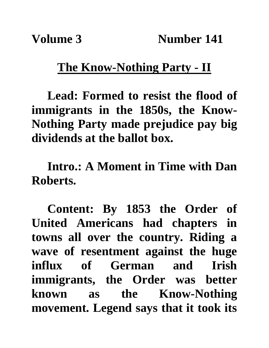## **The Know-Nothing Party - II**

**Lead: Formed to resist the flood of immigrants in the 1850s, the Know-Nothing Party made prejudice pay big dividends at the ballot box.**

**Intro.: A Moment in Time with Dan Roberts.**

**Content: By 1853 the Order of United Americans had chapters in towns all over the country. Riding a wave of resentment against the huge influx of German and Irish immigrants, the Order was better known as the Know-Nothing movement. Legend says that it took its**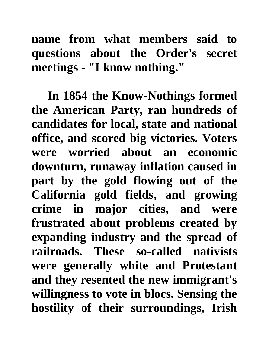**name from what members said to questions about the Order's secret meetings - "I know nothing."**

**In 1854 the Know-Nothings formed the American Party, ran hundreds of candidates for local, state and national office, and scored big victories. Voters were worried about an economic downturn, runaway inflation caused in part by the gold flowing out of the California gold fields, and growing crime in major cities, and were frustrated about problems created by expanding industry and the spread of railroads. These so-called nativists were generally white and Protestant and they resented the new immigrant's willingness to vote in blocs. Sensing the hostility of their surroundings, Irish**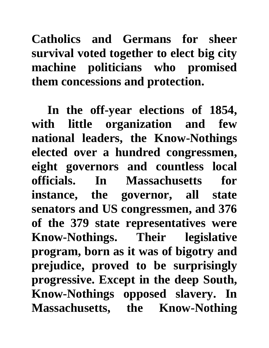**Catholics and Germans for sheer survival voted together to elect big city machine politicians who promised them concessions and protection.**

**In the off-year elections of 1854, with little organization and few national leaders, the Know-Nothings elected over a hundred congressmen, eight governors and countless local officials. In Massachusetts for instance, the governor, all state senators and US congressmen, and 376 of the 379 state representatives were Know-Nothings. Their legislative program, born as it was of bigotry and prejudice, proved to be surprisingly progressive. Except in the deep South, Know-Nothings opposed slavery. In Massachusetts, the Know-Nothing**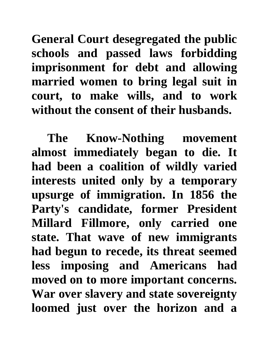**General Court desegregated the public schools and passed laws forbidding imprisonment for debt and allowing married women to bring legal suit in court, to make wills, and to work without the consent of their husbands.** 

**The Know-Nothing movement almost immediately began to die. It had been a coalition of wildly varied interests united only by a temporary upsurge of immigration. In 1856 the Party's candidate, former President Millard Fillmore, only carried one state. That wave of new immigrants had begun to recede, its threat seemed less imposing and Americans had moved on to more important concerns. War over slavery and state sovereignty loomed just over the horizon and a**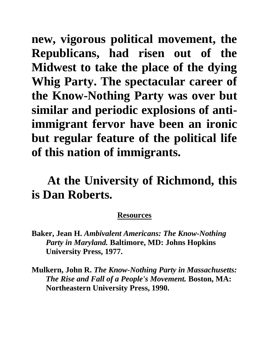**new, vigorous political movement, the Republicans, had risen out of the Midwest to take the place of the dying Whig Party. The spectacular career of the Know-Nothing Party was over but similar and periodic explosions of antiimmigrant fervor have been an ironic but regular feature of the political life of this nation of immigrants.** 

**At the University of Richmond, this is Dan Roberts.**

## **Resources**

- **Baker, Jean H.** *Ambivalent Americans: The Know-Nothing Party in Maryland.* **Baltimore, MD: Johns Hopkins University Press, 1977.**
- **Mulkern, John R.** *The Know-Nothing Party in Massachusetts: The Rise and Fall of a People's Movement.* **Boston, MA: Northeastern University Press, 1990.**